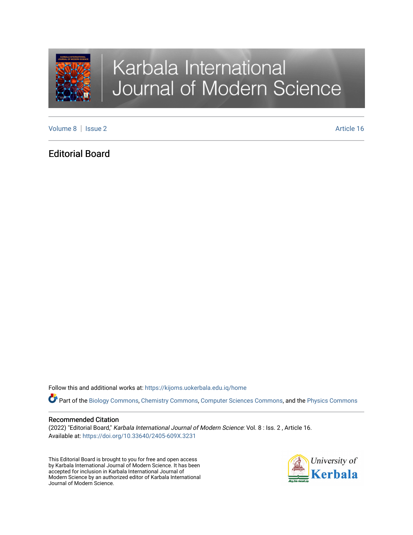

# Karbala International Journal of Modern Science

[Volume 8](https://kijoms.uokerbala.edu.iq/home/vol8) | [Issue 2](https://kijoms.uokerbala.edu.iq/home/vol8/iss2) Article 16

# Editorial Board

Follow this and additional works at: [https://kijoms.uokerbala.edu.iq/home](https://kijoms.uokerbala.edu.iq/home?utm_source=kijoms.uokerbala.edu.iq%2Fhome%2Fvol8%2Fiss2%2F16&utm_medium=PDF&utm_campaign=PDFCoverPages) 

Part of the [Biology Commons](https://network.bepress.com/hgg/discipline/41?utm_source=kijoms.uokerbala.edu.iq%2Fhome%2Fvol8%2Fiss2%2F16&utm_medium=PDF&utm_campaign=PDFCoverPages), [Chemistry Commons,](https://network.bepress.com/hgg/discipline/131?utm_source=kijoms.uokerbala.edu.iq%2Fhome%2Fvol8%2Fiss2%2F16&utm_medium=PDF&utm_campaign=PDFCoverPages) [Computer Sciences Commons](https://network.bepress.com/hgg/discipline/142?utm_source=kijoms.uokerbala.edu.iq%2Fhome%2Fvol8%2Fiss2%2F16&utm_medium=PDF&utm_campaign=PDFCoverPages), and the [Physics Commons](https://network.bepress.com/hgg/discipline/193?utm_source=kijoms.uokerbala.edu.iq%2Fhome%2Fvol8%2Fiss2%2F16&utm_medium=PDF&utm_campaign=PDFCoverPages)

## Recommended Citation

(2022) "Editorial Board," Karbala International Journal of Modern Science: Vol. 8 : Iss. 2 , Article 16. Available at: <https://doi.org/10.33640/2405-609X.3231>

This Editorial Board is brought to you for free and open access by Karbala International Journal of Modern Science. It has been accepted for inclusion in Karbala International Journal of Modern Science by an authorized editor of Karbala International Journal of Modern Science.

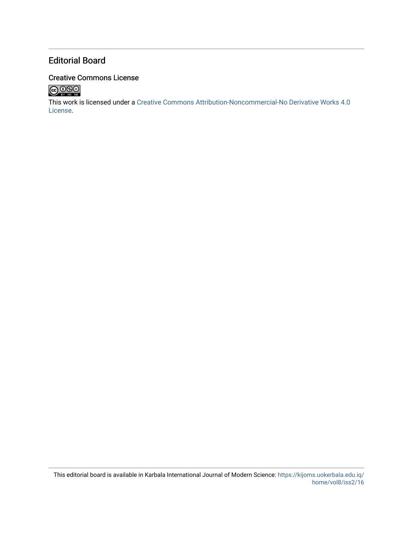# Editorial Board

# Creative Commons License



This work is licensed under a [Creative Commons Attribution-Noncommercial-No Derivative Works 4.0](http://creativecommons.org/licenses/by-nc-nd/4.0/) [License](http://creativecommons.org/licenses/by-nc-nd/4.0/).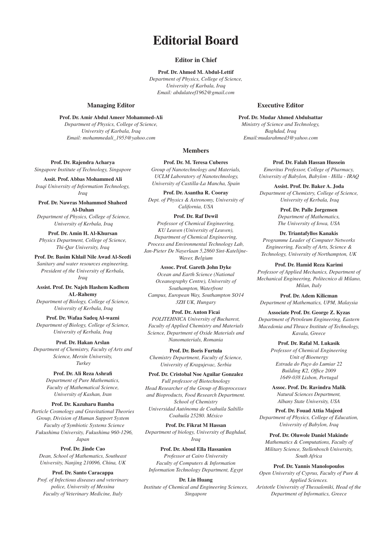# **Editorial Board**

#### **Editor in Chief**

**Prof. Dr. Ahmed M. Abdul-Lettif**  *Department of Physics, College of Science, University of Karbala, Iraq Email: abdulateef1962@gmail.com*

#### **Managing Editor**

**Prof. Dr. Amir Abdul Ameer Mohammed-Ali**  *Department of Physics, College of Science, University of Karbala, Iraq Email: mohammedali\_1953@yahoo.com*

**Prof. Dr. Rajendra Acharya** *Singapore Institute of Technology, Singapore*

**Assit. Prof. Abbas Mohammed Ali** *Iraqi University of Information Technology, Iraq*

**Prof. Dr. Nawras Mohammed Shaheed Al-Dahan**

 *Department of Physics, College of Science, University of Kerbala, Iraq*

**Prof. Dr. Amin H. Al-Khursan** *Physics Department, College of Science, Thi-Qar University, Iraq*

### **Prof. Dr. Basim Khlail Nile Awad Al-Seedi**

*Sanitary and water resources engineering, President of the University of Kerbala, Iraq*

**Assist. Prof. Dr. Najeh Hashem Kadhem AL-Rahemy** *Department of Biology, College of Science, University of Kerbala, Iraq*

**Prof. Dr. Wafaa Sadeq Al-wazni** *Department of Biology, College of Science, University of Kerbala, Iraq*

**Prof. Dr. Hakan Arslan** *Department of Chemistry, Faculty of Arts and Science, Mersin University, Turkey*

# **Prof. Dr. Ali Reza Ashrafi**

*Department of Pure Mathematics, Faculty of Mathematical Science, University of Kashan, Iran*

#### **Prof. Dr. Kazuharu Bamba**

*Particle Cosmology and Gravitational Theories Group, Division of Human Support System Faculty of Symbiotic Systems Science Fukushima University, Fukushima 960-1296, Japan*

**Prof. Dr. Jinde Cao**  *Dean, School of Mathematics, Southeast University, Nanjing 210096, China, UK*

#### **Prof. Dr. Santo Caracappa**

*Prof. of Infectious diseases and veterinary police, University of Messina Faculty of Veterinary Medicine, Italy*

#### **Executive Editor**

**Prof. Dr. Mudar Ahmed Abdulsattar** *Ministry of Science and Technology, Baghdad, Iraq Email:mudarahmed3@yahoo.com*

#### **Members**

**Prof. Dr. M. Teresa Cuberes** *Group of Nanotechnology and Materials, UCLM Laboratory of Nanotechnology, University of Castilla-La Mancha, Spain*

**Prof. Dr. Asantha R. Cooray** *Dept. of Physics & Astronomy, University of California, USA*

**Prof. Dr. Raf Dewil**

*Professor of Chemical Engineering, KU Leuven (University of Leuven), Department of Chemical Engineering, Process and Environmental Technology Lab, Jan-Pieter De Nayerlaan 5,2860 Sint-Katelijne-Waver, Belgium*

#### **Assoc. Prof. Gareth John Dyke**

*Ocean and Earth Science (National Oceanography Centre), University of Southampton, Waterfront Campus, European Way, Southampton SO14 3ZH UK, Hungary*

#### **Prof. Dr. Anton Ficai**

*POLITEHNICA University of Bucharest, Faculty of Applied Chemistry and Materials Science, Department of Oxide Materials and Nanomaterials, Romania*

**Prof. Dr. Boris Furtula** *Chemistry Department, Faculty of Science, University of Kragujevac, Serbia*

**Prof. Dr. Cristobal Noe Aguilar Gonzalez** *Full professor of Biotechnology Head Researcher of the Group of Bioprocesses and Bioproducts, Food Research Department. School of Chemistry Universidad Autónoma de Coahuila Saltillo Coahuila 25280. México*

**Prof. Dr. Fikrat M Hassan** *Department of biology, University of Baghdad, Iraq*

**Prof. Dr. Aboul Ella Hassanien** *Professor at Cairo University Faculty of Computers & Information Information Technology Department, Egypt*

**Dr. Lin Huang** *Institute of Chemical and Engineering Sciences, Singapore*

**Prof. Dr. Falah Hassan Hussein** *Emeritus Professor, College of Pharmacy, University of Babylon, Babylon - Hilla - IRAQ*

**Assist. Prof. Dr. Baker A. Joda**  *Department of Chemistry, College of Science, University of Kerbala, Iraq*

> **Prof. Dr. Palle Jorgensen**  *Department of Mathematics, The University of Iowa, USA*

**Dr. Triantafyllos Kanakis** *Programme Leader of Computer Networks Engineering, Faculty of Arts, Science & Technology, University of Northampton, UK*

#### **Prof. Dr. Hamid Reza Karimi**

*Professor of Applied Mechanics, Department of Mechanical Engineering, Politecnico di Milano, Milan, Italy*

**Prof. Dr. Adem Kilicman**  *Department of Mathematics, UPM, Malaysia*

**Associate Prof. Dr. George Z. Kyzas** *Department of Petroleum Engineering, Eastern Macedonia and Thrace Institute of Technology, Kavala, Greece*

**Prof. Dr. Rafal M. Lukasik** 

*Professor of Chemical Engineering Unit of Bioenergy Estrada do Paço do Lumiar 22 Building K2, Office 2009 1649-038 Lisbon, Portugal*

**Assoc. Prof. Dr. Ravindra Malik**  *Natural Sciences Department, Albany State University, USA*

**Prof. Dr. Fouad Attia Majeed** *Department of Physics, College of Education, University of Babylon, Iraq*

**Prof. Dr. Oluwole Daniel Makinde** *Mathematics & Computations, Faculty of Military Science, Stellenbosch University, South Africa*

#### **Prof. Dr. Yannis Manolopoulos**

*Open University of Cyprus, Faculty of Pure & Applied Sciences. Aristotle University of Thessaloniki, Head of the Department of Informatics, Greece*